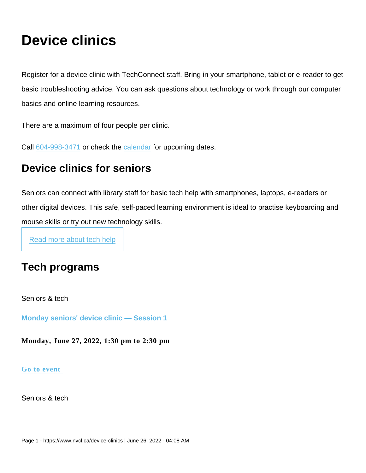# Device clinics

Register for a device clinic with TechConnect staff. Bring in your smartphone, tablet or e-reader to get basic troubleshooting advice. You can ask questions about technology or work through our computer basics and online learning resources.

There are a maximum of four people per clinic.

Call [604-998-3471](tel:604-998-3471) or check the [calendar](https://www.nvcl.ca/calendar) for upcoming dates.

# Device clinics for seniors

Seniors can connect with library staff for basic tech help with smartphones, laptops, e-readers or other digital devices. This safe, self-paced learning environment is ideal to practise keyboarding and mouse skills or try out new technology skills.

[Read more about tech help](https://www.nvcl.ca/technology-help-digital-skills-coaching)

# Tech programs

Seniors & tech

[Monday seniors' device clinic — Session 1](https://www.nvcl.ca/events/monday-seniors-device-clinic-session-1-1) 

Monday, June 27, 2022, 1:30 pm to 2:30 pm

[Go to event](https://www.nvcl.ca/events/monday-seniors-device-clinic-session-1-1) 

Seniors & tech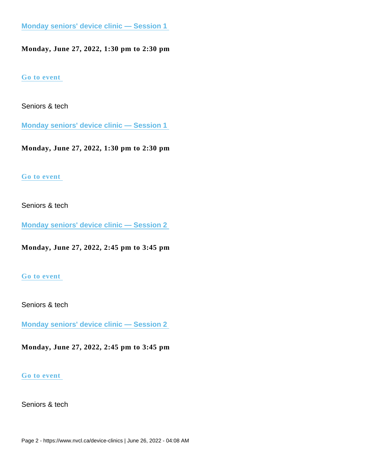[Monday seniors' device clinic — Session 1](https://www.nvcl.ca/events/monday-seniors-device-clinic-session-1-1) 

Monday, June 27, 2022, 1:30 pm to 2:30 pm

[Go to event](https://www.nvcl.ca/events/monday-seniors-device-clinic-session-1-1) 

Seniors & tech

[Monday seniors' device clinic — Session 1](https://www.nvcl.ca/events/monday-seniors-device-clinic-session-1-1) 

Monday, June 27, 2022, 1:30 pm to 2:30 pm

#### [Go to event](https://www.nvcl.ca/events/monday-seniors-device-clinic-session-1-1)

Seniors & tech

[Monday seniors' device clinic — Session 2](https://www.nvcl.ca/events/monday-seniors-device-clinic-session-2-10) 

Monday, June 27, 2022, 2:45 pm to 3:45 pm

#### [Go to event](https://www.nvcl.ca/events/monday-seniors-device-clinic-session-2-10)

Seniors & tech

[Monday seniors' device clinic — Session 2](https://www.nvcl.ca/events/monday-seniors-device-clinic-session-2-10) 

Monday, June 27, 2022, 2:45 pm to 3:45 pm

#### [Go to event](https://www.nvcl.ca/events/monday-seniors-device-clinic-session-2-10)

Seniors & tech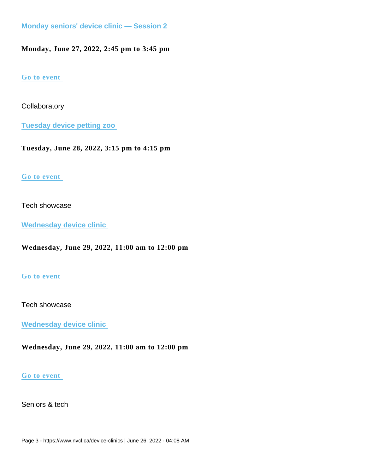[Monday seniors' device clinic — Session 2](https://www.nvcl.ca/events/monday-seniors-device-clinic-session-2-10) 

Monday, June 27, 2022, 2:45 pm to 3:45 pm

[Go to event](https://www.nvcl.ca/events/monday-seniors-device-clinic-session-2-10) 

**Collaboratory** 

[Tuesday device petting zoo](https://www.nvcl.ca/events/tuesday-device-petting-zoo-7) 

Tuesday, June 28, 2022, 3:15 pm to 4:15 pm

# [Go to event](https://www.nvcl.ca/events/tuesday-device-petting-zoo-7)

## Tech showcase

[Wednesday device clinic](https://www.nvcl.ca/events/wednesday-device-clinic-8) 

Wednesday, June 29, 2022, 11:00 am to 12:00 pm

# [Go to event](https://www.nvcl.ca/events/wednesday-device-clinic-8)

### Tech showcase

[Wednesday device clinic](https://www.nvcl.ca/events/wednesday-device-clinic-8) 

Wednesday, June 29, 2022, 11:00 am to 12:00 pm

### [Go to event](https://www.nvcl.ca/events/wednesday-device-clinic-8)

Seniors & tech